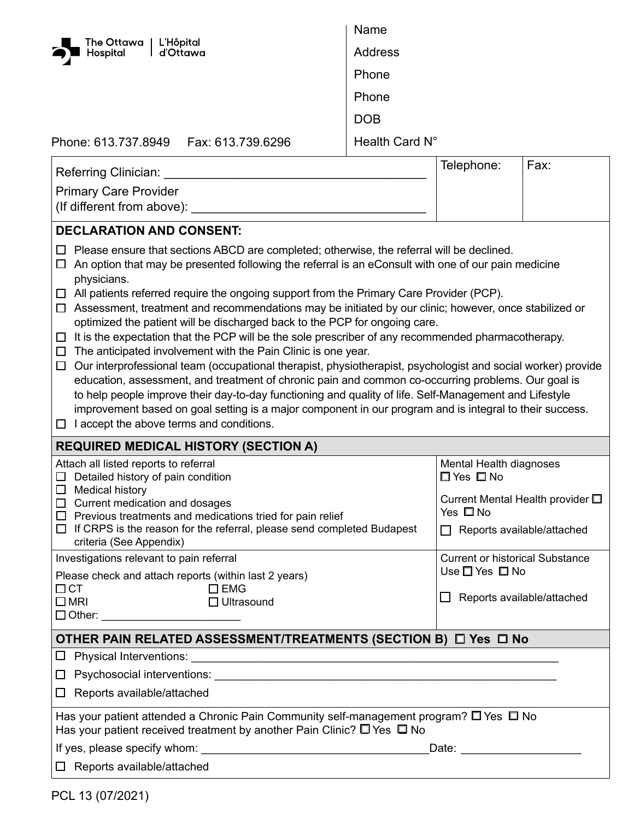| The Ottawa   L'Hôpital                                                                                                                                                                                                                                                                                                                                                                                                                                                                                                                                                                                                                                                                                                                                                                                                                                                                                                                                                                                                                                                                                                                                                                                              | Name               |                                                              |                            |  |
|---------------------------------------------------------------------------------------------------------------------------------------------------------------------------------------------------------------------------------------------------------------------------------------------------------------------------------------------------------------------------------------------------------------------------------------------------------------------------------------------------------------------------------------------------------------------------------------------------------------------------------------------------------------------------------------------------------------------------------------------------------------------------------------------------------------------------------------------------------------------------------------------------------------------------------------------------------------------------------------------------------------------------------------------------------------------------------------------------------------------------------------------------------------------------------------------------------------------|--------------------|--------------------------------------------------------------|----------------------------|--|
| Hospital<br>l d'Ottawa                                                                                                                                                                                                                                                                                                                                                                                                                                                                                                                                                                                                                                                                                                                                                                                                                                                                                                                                                                                                                                                                                                                                                                                              | Address            |                                                              |                            |  |
|                                                                                                                                                                                                                                                                                                                                                                                                                                                                                                                                                                                                                                                                                                                                                                                                                                                                                                                                                                                                                                                                                                                                                                                                                     | Phone              |                                                              |                            |  |
|                                                                                                                                                                                                                                                                                                                                                                                                                                                                                                                                                                                                                                                                                                                                                                                                                                                                                                                                                                                                                                                                                                                                                                                                                     | Phone              |                                                              |                            |  |
|                                                                                                                                                                                                                                                                                                                                                                                                                                                                                                                                                                                                                                                                                                                                                                                                                                                                                                                                                                                                                                                                                                                                                                                                                     | <b>DOB</b>         |                                                              |                            |  |
| Phone: 613.737.8949    Fax: 613.739.6296                                                                                                                                                                                                                                                                                                                                                                                                                                                                                                                                                                                                                                                                                                                                                                                                                                                                                                                                                                                                                                                                                                                                                                            | Health Card N°     |                                                              |                            |  |
|                                                                                                                                                                                                                                                                                                                                                                                                                                                                                                                                                                                                                                                                                                                                                                                                                                                                                                                                                                                                                                                                                                                                                                                                                     |                    |                                                              |                            |  |
| Referring Clinician:                                                                                                                                                                                                                                                                                                                                                                                                                                                                                                                                                                                                                                                                                                                                                                                                                                                                                                                                                                                                                                                                                                                                                                                                | Telephone:<br>Fax: |                                                              |                            |  |
| <b>Primary Care Provider</b>                                                                                                                                                                                                                                                                                                                                                                                                                                                                                                                                                                                                                                                                                                                                                                                                                                                                                                                                                                                                                                                                                                                                                                                        |                    |                                                              |                            |  |
| (If different from above):                                                                                                                                                                                                                                                                                                                                                                                                                                                                                                                                                                                                                                                                                                                                                                                                                                                                                                                                                                                                                                                                                                                                                                                          |                    |                                                              |                            |  |
| <b>DECLARATION AND CONSENT:</b>                                                                                                                                                                                                                                                                                                                                                                                                                                                                                                                                                                                                                                                                                                                                                                                                                                                                                                                                                                                                                                                                                                                                                                                     |                    |                                                              |                            |  |
| Please ensure that sections ABCD are completed; otherwise, the referral will be declined.<br>ப<br>An option that may be presented following the referral is an eConsult with one of our pain medicine<br>ப<br>physicians.<br>$\Box$ All patients referred require the ongoing support from the Primary Care Provider (PCP).<br>Assessment, treatment and recommendations may be initiated by our clinic; however, once stabilized or<br>$\Box$<br>optimized the patient will be discharged back to the PCP for ongoing care.<br>It is the expectation that the PCP will be the sole prescriber of any recommended pharmacotherapy.<br>□<br>The anticipated involvement with the Pain Clinic is one year.<br>ப<br>Our interprofessional team (occupational therapist, physiotherapist, psychologist and social worker) provide<br>$\Box$<br>education, assessment, and treatment of chronic pain and common co-occurring problems. Our goal is<br>to help people improve their day-to-day functioning and quality of life. Self-Management and Lifestyle<br>improvement based on goal setting is a major component in our program and is integral to their success.<br>I accept the above terms and conditions.<br>ப |                    |                                                              |                            |  |
| <b>REQUIRED MEDICAL HISTORY (SECTION A)</b>                                                                                                                                                                                                                                                                                                                                                                                                                                                                                                                                                                                                                                                                                                                                                                                                                                                                                                                                                                                                                                                                                                                                                                         |                    |                                                              |                            |  |
| Attach all listed reports to referral<br>$\Box$ Detailed history of pain condition                                                                                                                                                                                                                                                                                                                                                                                                                                                                                                                                                                                                                                                                                                                                                                                                                                                                                                                                                                                                                                                                                                                                  |                    | Mental Health diagnoses<br>□ Yes □ No                        |                            |  |
| $\Box$ Medical history<br>$\Box$ Current medication and dosages<br>$\Box$ Previous treatments and medications tried for pain relief                                                                                                                                                                                                                                                                                                                                                                                                                                                                                                                                                                                                                                                                                                                                                                                                                                                                                                                                                                                                                                                                                 |                    | Current Mental Health provider $\square$<br>Yes $\square$ No |                            |  |
| $\Box$ If CRPS is the reason for the referral, please send completed Budapest<br>criteria (See Appendix)                                                                                                                                                                                                                                                                                                                                                                                                                                                                                                                                                                                                                                                                                                                                                                                                                                                                                                                                                                                                                                                                                                            |                    | $\Box$ Reports available/attached                            |                            |  |
| Investigations relevant to pain referral                                                                                                                                                                                                                                                                                                                                                                                                                                                                                                                                                                                                                                                                                                                                                                                                                                                                                                                                                                                                                                                                                                                                                                            |                    | <b>Current or historical Substance</b>                       |                            |  |
| Please check and attach reports (within last 2 years)<br>$\square$ EMG<br>$\Box$ CT                                                                                                                                                                                                                                                                                                                                                                                                                                                                                                                                                                                                                                                                                                                                                                                                                                                                                                                                                                                                                                                                                                                                 |                    | Use $\square$ Yes $\square$ No                               |                            |  |
| $\square$ MRI<br>$\Box$ Ultrasound                                                                                                                                                                                                                                                                                                                                                                                                                                                                                                                                                                                                                                                                                                                                                                                                                                                                                                                                                                                                                                                                                                                                                                                  |                    | $\mathsf{L}$                                                 | Reports available/attached |  |
|                                                                                                                                                                                                                                                                                                                                                                                                                                                                                                                                                                                                                                                                                                                                                                                                                                                                                                                                                                                                                                                                                                                                                                                                                     |                    |                                                              |                            |  |
| OTHER PAIN RELATED ASSESSMENT/TREATMENTS (SECTION B) □ Yes □ No                                                                                                                                                                                                                                                                                                                                                                                                                                                                                                                                                                                                                                                                                                                                                                                                                                                                                                                                                                                                                                                                                                                                                     |                    |                                                              |                            |  |
|                                                                                                                                                                                                                                                                                                                                                                                                                                                                                                                                                                                                                                                                                                                                                                                                                                                                                                                                                                                                                                                                                                                                                                                                                     |                    |                                                              |                            |  |
|                                                                                                                                                                                                                                                                                                                                                                                                                                                                                                                                                                                                                                                                                                                                                                                                                                                                                                                                                                                                                                                                                                                                                                                                                     |                    |                                                              |                            |  |
| Reports available/attached<br>$\Box$                                                                                                                                                                                                                                                                                                                                                                                                                                                                                                                                                                                                                                                                                                                                                                                                                                                                                                                                                                                                                                                                                                                                                                                |                    |                                                              |                            |  |
| Has your patient attended a Chronic Pain Community self-management program? $\square$ Yes $\square$ No<br>Has your patient received treatment by another Pain Clinic? $\square$ Yes $\square$ No                                                                                                                                                                                                                                                                                                                                                                                                                                                                                                                                                                                                                                                                                                                                                                                                                                                                                                                                                                                                                    |                    |                                                              |                            |  |
| Date: <u>Date:</u>                                                                                                                                                                                                                                                                                                                                                                                                                                                                                                                                                                                                                                                                                                                                                                                                                                                                                                                                                                                                                                                                                                                                                                                                  |                    |                                                              |                            |  |
| Reports available/attached<br>$\Box$                                                                                                                                                                                                                                                                                                                                                                                                                                                                                                                                                                                                                                                                                                                                                                                                                                                                                                                                                                                                                                                                                                                                                                                |                    |                                                              |                            |  |